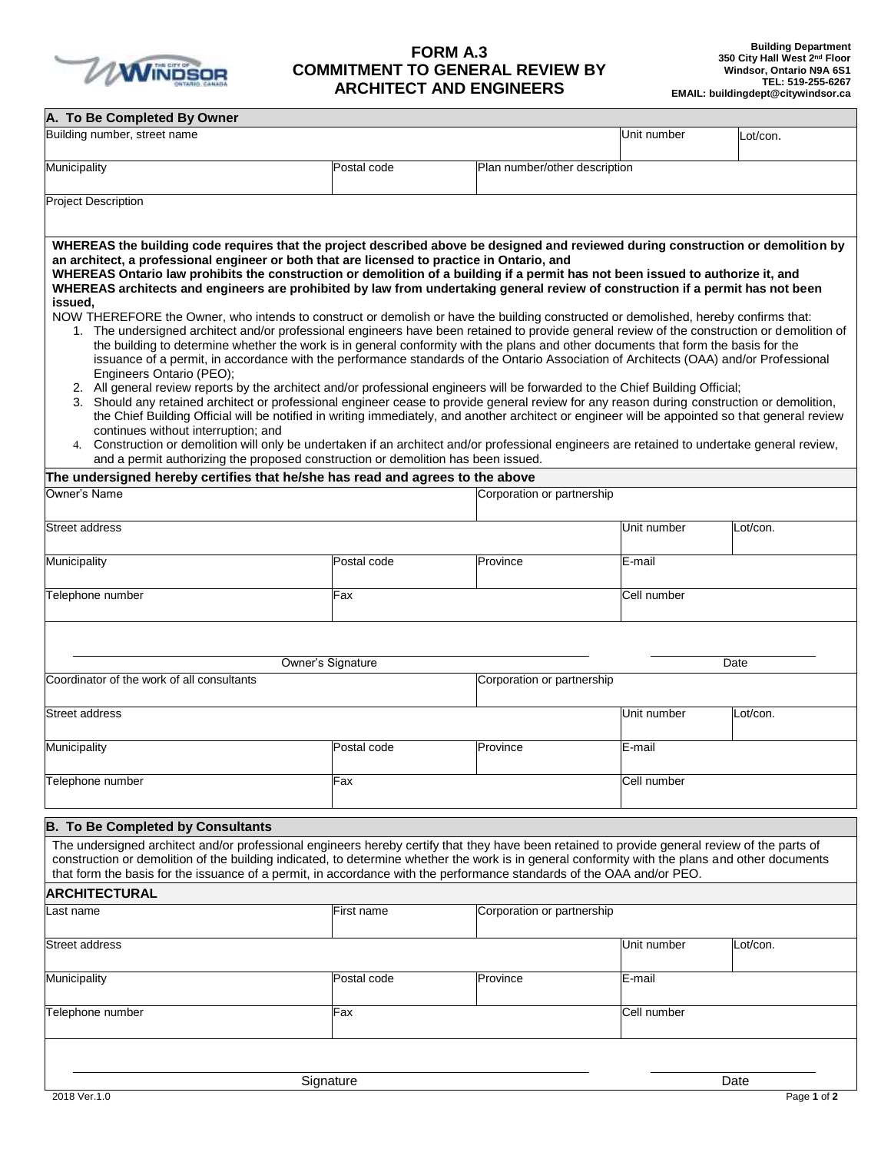

## **FORM A.3 COMMITMENT TO GENERAL REVIEW BY ARCHITECT AND ENGINEERS**

| A. To Be Completed By Owner                                                                                                                                                                                                                                                                                                                                                                                                                                                                                                                                                                                                                                                                                                                                                                                                                                                                                                                                                                                                                                                                                                                                                                                                                                                                                                                                                                                                                                                                                                                                                                    |                   |                               |             |          |
|------------------------------------------------------------------------------------------------------------------------------------------------------------------------------------------------------------------------------------------------------------------------------------------------------------------------------------------------------------------------------------------------------------------------------------------------------------------------------------------------------------------------------------------------------------------------------------------------------------------------------------------------------------------------------------------------------------------------------------------------------------------------------------------------------------------------------------------------------------------------------------------------------------------------------------------------------------------------------------------------------------------------------------------------------------------------------------------------------------------------------------------------------------------------------------------------------------------------------------------------------------------------------------------------------------------------------------------------------------------------------------------------------------------------------------------------------------------------------------------------------------------------------------------------------------------------------------------------|-------------------|-------------------------------|-------------|----------|
| Building number, street name                                                                                                                                                                                                                                                                                                                                                                                                                                                                                                                                                                                                                                                                                                                                                                                                                                                                                                                                                                                                                                                                                                                                                                                                                                                                                                                                                                                                                                                                                                                                                                   |                   |                               | Unit number | Lot/con. |
| Municipality                                                                                                                                                                                                                                                                                                                                                                                                                                                                                                                                                                                                                                                                                                                                                                                                                                                                                                                                                                                                                                                                                                                                                                                                                                                                                                                                                                                                                                                                                                                                                                                   | Postal code       | Plan number/other description |             |          |
| <b>Project Description</b>                                                                                                                                                                                                                                                                                                                                                                                                                                                                                                                                                                                                                                                                                                                                                                                                                                                                                                                                                                                                                                                                                                                                                                                                                                                                                                                                                                                                                                                                                                                                                                     |                   |                               |             |          |
| WHEREAS the building code requires that the project described above be designed and reviewed during construction or demolition by<br>an architect, a professional engineer or both that are licensed to practice in Ontario, and<br>WHEREAS Ontario law prohibits the construction or demolition of a building if a permit has not been issued to authorize it, and<br>WHEREAS architects and engineers are prohibited by law from undertaking general review of construction if a permit has not been<br>issued.<br>NOW THEREFORE the Owner, who intends to construct or demolish or have the building constructed or demolished, hereby confirms that:<br>1. The undersigned architect and/or professional engineers have been retained to provide general review of the construction or demolition of<br>the building to determine whether the work is in general conformity with the plans and other documents that form the basis for the<br>issuance of a permit, in accordance with the performance standards of the Ontario Association of Architects (OAA) and/or Professional<br>Engineers Ontario (PEO);<br>2. All general review reports by the architect and/or professional engineers will be forwarded to the Chief Building Official;<br>3. Should any retained architect or professional engineer cease to provide general review for any reason during construction or demolition,<br>the Chief Building Official will be notified in writing immediately, and another architect or engineer will be appointed so that general review<br>continues without interruption; and |                   |                               |             |          |
| 4. Construction or demolition will only be undertaken if an architect and/or professional engineers are retained to undertake general review,<br>and a permit authorizing the proposed construction or demolition has been issued.                                                                                                                                                                                                                                                                                                                                                                                                                                                                                                                                                                                                                                                                                                                                                                                                                                                                                                                                                                                                                                                                                                                                                                                                                                                                                                                                                             |                   |                               |             |          |
| The undersigned hereby certifies that he/she has read and agrees to the above                                                                                                                                                                                                                                                                                                                                                                                                                                                                                                                                                                                                                                                                                                                                                                                                                                                                                                                                                                                                                                                                                                                                                                                                                                                                                                                                                                                                                                                                                                                  |                   |                               |             |          |
| Owner's Name                                                                                                                                                                                                                                                                                                                                                                                                                                                                                                                                                                                                                                                                                                                                                                                                                                                                                                                                                                                                                                                                                                                                                                                                                                                                                                                                                                                                                                                                                                                                                                                   |                   | Corporation or partnership    |             |          |
| Street address                                                                                                                                                                                                                                                                                                                                                                                                                                                                                                                                                                                                                                                                                                                                                                                                                                                                                                                                                                                                                                                                                                                                                                                                                                                                                                                                                                                                                                                                                                                                                                                 |                   |                               | Unit number | Lot/con. |
| Municipality                                                                                                                                                                                                                                                                                                                                                                                                                                                                                                                                                                                                                                                                                                                                                                                                                                                                                                                                                                                                                                                                                                                                                                                                                                                                                                                                                                                                                                                                                                                                                                                   | Postal code       | Province                      | E-mail      |          |
| Telephone number                                                                                                                                                                                                                                                                                                                                                                                                                                                                                                                                                                                                                                                                                                                                                                                                                                                                                                                                                                                                                                                                                                                                                                                                                                                                                                                                                                                                                                                                                                                                                                               | Fax               |                               | Cell number |          |
|                                                                                                                                                                                                                                                                                                                                                                                                                                                                                                                                                                                                                                                                                                                                                                                                                                                                                                                                                                                                                                                                                                                                                                                                                                                                                                                                                                                                                                                                                                                                                                                                | Owner's Signature |                               |             | Date     |
| Coordinator of the work of all consultants                                                                                                                                                                                                                                                                                                                                                                                                                                                                                                                                                                                                                                                                                                                                                                                                                                                                                                                                                                                                                                                                                                                                                                                                                                                                                                                                                                                                                                                                                                                                                     |                   | Corporation or partnership    |             |          |
| Street address                                                                                                                                                                                                                                                                                                                                                                                                                                                                                                                                                                                                                                                                                                                                                                                                                                                                                                                                                                                                                                                                                                                                                                                                                                                                                                                                                                                                                                                                                                                                                                                 |                   |                               | Unit number | Lot/con. |
| Municipality                                                                                                                                                                                                                                                                                                                                                                                                                                                                                                                                                                                                                                                                                                                                                                                                                                                                                                                                                                                                                                                                                                                                                                                                                                                                                                                                                                                                                                                                                                                                                                                   | Postal code       | Province                      | E-mail      |          |
| Telephone number                                                                                                                                                                                                                                                                                                                                                                                                                                                                                                                                                                                                                                                                                                                                                                                                                                                                                                                                                                                                                                                                                                                                                                                                                                                                                                                                                                                                                                                                                                                                                                               | Fax               |                               | Cell number |          |
| <b>B. To Be Completed by Consultants</b>                                                                                                                                                                                                                                                                                                                                                                                                                                                                                                                                                                                                                                                                                                                                                                                                                                                                                                                                                                                                                                                                                                                                                                                                                                                                                                                                                                                                                                                                                                                                                       |                   |                               |             |          |
| The undersigned architect and/or professional engineers hereby certify that they have been retained to provide general review of the parts of<br>construction or demolition of the building indicated, to determine whether the work is in general conformity with the plans and other documents<br>that form the basis for the issuance of a permit, in accordance with the performance standards of the OAA and/or PEO.                                                                                                                                                                                                                                                                                                                                                                                                                                                                                                                                                                                                                                                                                                                                                                                                                                                                                                                                                                                                                                                                                                                                                                      |                   |                               |             |          |
| <b>ARCHITECTURAL</b>                                                                                                                                                                                                                                                                                                                                                                                                                                                                                                                                                                                                                                                                                                                                                                                                                                                                                                                                                                                                                                                                                                                                                                                                                                                                                                                                                                                                                                                                                                                                                                           |                   |                               |             |          |
| ast name                                                                                                                                                                                                                                                                                                                                                                                                                                                                                                                                                                                                                                                                                                                                                                                                                                                                                                                                                                                                                                                                                                                                                                                                                                                                                                                                                                                                                                                                                                                                                                                       | First name        | Corporation or partnership    |             |          |
| <b>Street address</b>                                                                                                                                                                                                                                                                                                                                                                                                                                                                                                                                                                                                                                                                                                                                                                                                                                                                                                                                                                                                                                                                                                                                                                                                                                                                                                                                                                                                                                                                                                                                                                          |                   |                               | Unit number | Lot/con. |
| Municipality                                                                                                                                                                                                                                                                                                                                                                                                                                                                                                                                                                                                                                                                                                                                                                                                                                                                                                                                                                                                                                                                                                                                                                                                                                                                                                                                                                                                                                                                                                                                                                                   | Postal code       | Province                      | E-mail      |          |
| Telephone number                                                                                                                                                                                                                                                                                                                                                                                                                                                                                                                                                                                                                                                                                                                                                                                                                                                                                                                                                                                                                                                                                                                                                                                                                                                                                                                                                                                                                                                                                                                                                                               | Fax               |                               | Cell number |          |
|                                                                                                                                                                                                                                                                                                                                                                                                                                                                                                                                                                                                                                                                                                                                                                                                                                                                                                                                                                                                                                                                                                                                                                                                                                                                                                                                                                                                                                                                                                                                                                                                |                   |                               |             |          |
| Signature                                                                                                                                                                                                                                                                                                                                                                                                                                                                                                                                                                                                                                                                                                                                                                                                                                                                                                                                                                                                                                                                                                                                                                                                                                                                                                                                                                                                                                                                                                                                                                                      |                   |                               |             | Date     |